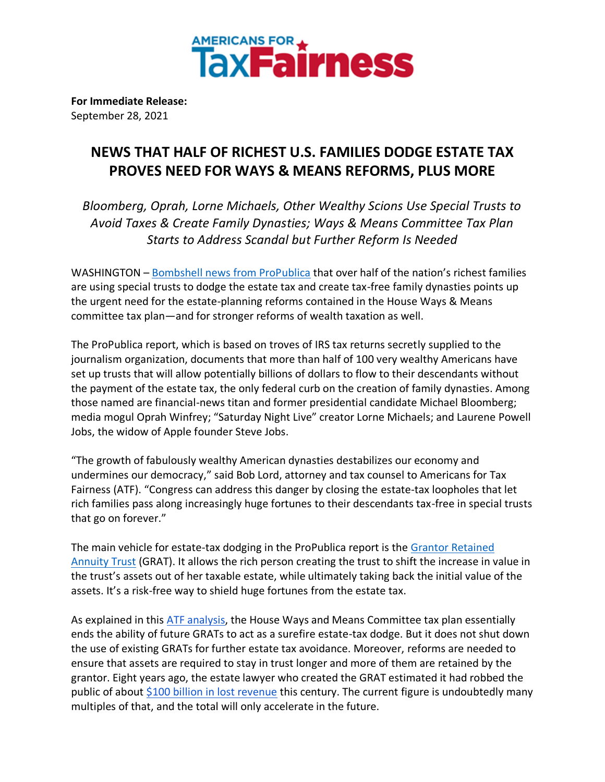

**For Immediate Release:** September 28, 2021

## **NEWS THAT HALF OF RICHEST U.S. FAMILIES DODGE ESTATE TAX PROVES NEED FOR WAYS & MEANS REFORMS, PLUS MORE**

*Bloomberg, Oprah, Lorne Michaels, Other Wealthy Scions Use Special Trusts to Avoid Taxes & Create Family Dynasties; Ways & Means Committee Tax Plan Starts to Address Scandal but Further Reform Is Needed*

WASHINGTON – [Bombshell news from ProPublica](https://www.propublica.org/article/more-than-half-of-americas-100-richest-people-exploit-special-trusts-to-avoid-estate-taxes) that over half of the nation's richest families are using special trusts to dodge the estate tax and create tax-free family dynasties points up the urgent need for the estate-planning reforms contained in the House Ways & Means committee tax plan—and for stronger reforms of wealth taxation as well.

The ProPublica report, which is based on troves of IRS tax returns secretly supplied to the journalism organization, documents that more than half of 100 very wealthy Americans have set up trusts that will allow potentially billions of dollars to flow to their descendants without the payment of the estate tax, the only federal curb on the creation of family dynasties. Among those named are financial-news titan and former presidential candidate Michael Bloomberg; media mogul Oprah Winfrey; "Saturday Night Live" creator Lorne Michaels; and Laurene Powell Jobs, the widow of Apple founder Steve Jobs.

"The growth of fabulously wealthy American dynasties destabilizes our economy and undermines our democracy," said Bob Lord, attorney and tax counsel to Americans for Tax Fairness (ATF). "Congress can address this danger by closing the estate-tax loopholes that let rich families pass along increasingly huge fortunes to their descendants tax-free in special trusts that go on forever."

The main vehicle for estate-tax dodging in the ProPublica report is the [Grantor Retained](https://www.thebalance.com/what-is-a-grantor-retained-annuity-trust-or-grat-3505397)  [Annuity Trust](https://www.thebalance.com/what-is-a-grantor-retained-annuity-trust-or-grat-3505397) (GRAT). It allows the rich person creating the trust to shift the increase in value in the trust's assets out of her taxable estate, while ultimately taking back the initial value of the assets. It's a risk-free way to shield huge fortunes from the estate tax.

As explained in this [ATF analysis,](https://americansfortaxfairness.org/issue/analysis-house-ways-means-committee-passed-tax-plan-ways-significantly-strengthen/) the House Ways and Means Committee tax plan essentially ends the ability of future GRATs to act as a surefire estate-tax dodge. But it does not shut down the use of existing GRATs for further estate tax avoidance. Moreover, reforms are needed to ensure that assets are required to stay in trust longer and more of them are retained by the grantor. Eight years ago, the estate lawyer who created the GRAT estimated it had robbed the public of about [\\$100 billion in lost revenue](https://www.washingtonpost.com/business/grat-shelters-an-accidental-tax-break-for-americas-wealthiest/2013/12/27/936bffc8-6c05-11e3-a523-fe73f0ff6b8d_story.html?utm_term=.33e9877d0762) this century. The current figure is undoubtedly many multiples of that, and the total will only accelerate in the future.